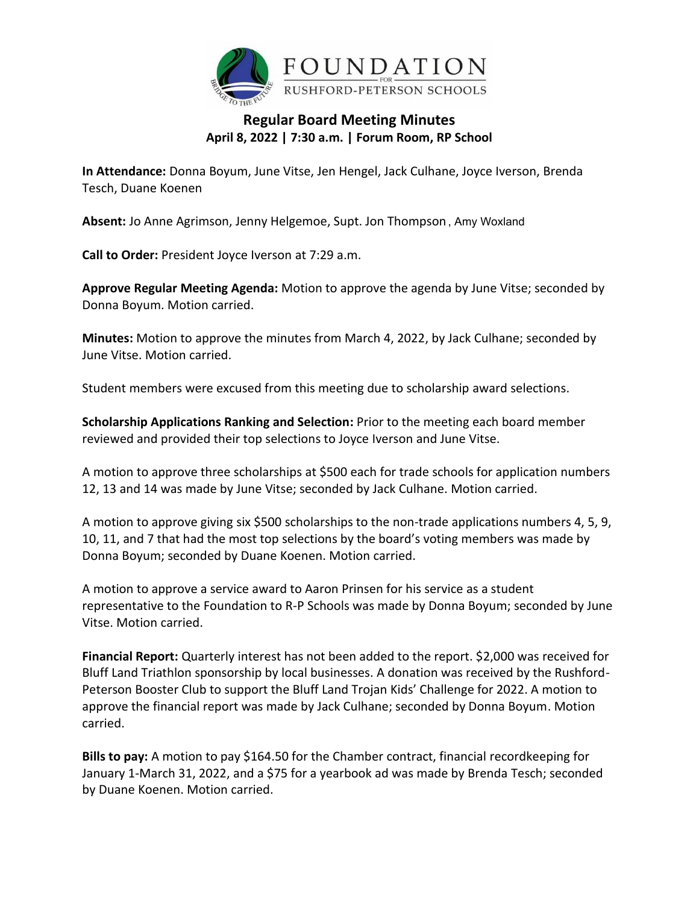

## **Regular Board Meeting Minutes April 8, 2022 | 7:30 a.m. | Forum Room, RP School**

**In Attendance:** Donna Boyum, June Vitse, Jen Hengel, Jack Culhane, Joyce Iverson, Brenda Tesch, Duane Koenen

**Absent:** Jo Anne Agrimson, Jenny Helgemoe, Supt. Jon Thompson , Amy Woxland

**Call to Order:** President Joyce Iverson at 7:29 a.m.

**Approve Regular Meeting Agenda:** Motion to approve the agenda by June Vitse; seconded by Donna Boyum. Motion carried.

**Minutes:** Motion to approve the minutes from March 4, 2022, by Jack Culhane; seconded by June Vitse. Motion carried.

Student members were excused from this meeting due to scholarship award selections.

**Scholarship Applications Ranking and Selection:** Prior to the meeting each board member reviewed and provided their top selections to Joyce Iverson and June Vitse.

A motion to approve three scholarships at \$500 each for trade schools for application numbers 12, 13 and 14 was made by June Vitse; seconded by Jack Culhane. Motion carried.

A motion to approve giving six \$500 scholarships to the non-trade applications numbers 4, 5, 9, 10, 11, and 7 that had the most top selections by the board's voting members was made by Donna Boyum; seconded by Duane Koenen. Motion carried.

A motion to approve a service award to Aaron Prinsen for his service as a student representative to the Foundation to R-P Schools was made by Donna Boyum; seconded by June Vitse. Motion carried.

**Financial Report:** Quarterly interest has not been added to the report. \$2,000 was received for Bluff Land Triathlon sponsorship by local businesses. A donation was received by the Rushford-Peterson Booster Club to support the Bluff Land Trojan Kids' Challenge for 2022. A motion to approve the financial report was made by Jack Culhane; seconded by Donna Boyum. Motion carried.

**Bills to pay:** A motion to pay \$164.50 for the Chamber contract, financial recordkeeping for January 1-March 31, 2022, and a \$75 for a yearbook ad was made by Brenda Tesch; seconded by Duane Koenen. Motion carried.